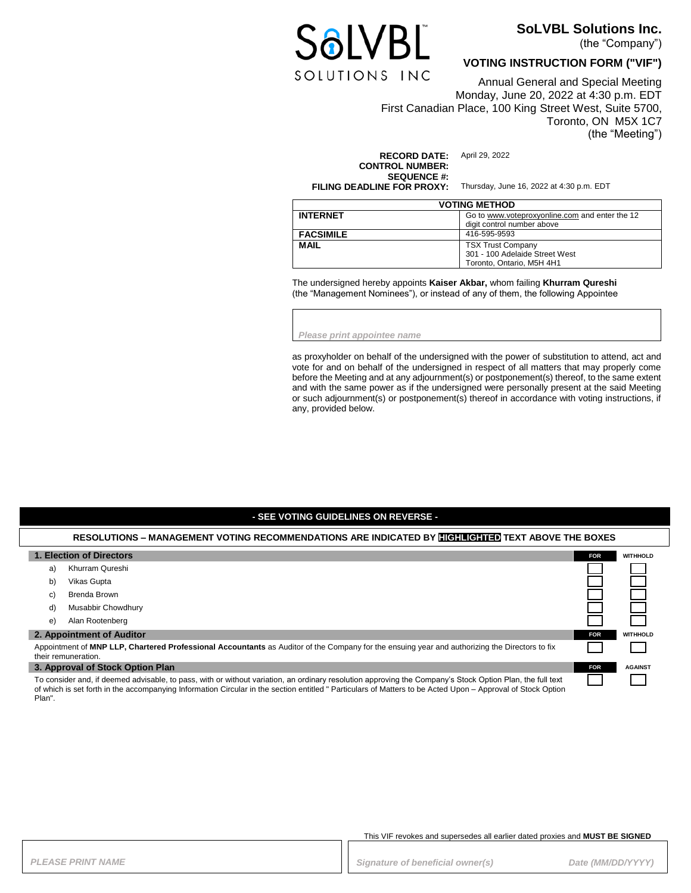

## **SoLVBL Solutions Inc.**

(the "Company")

## **VOTING INSTRUCTION FORM ("VIF")**

Annual General and Special Meeting Monday, June 20, 2022 at 4:30 p.m. EDT First Canadian Place, 100 King Street West, Suite 5700, Toronto, ON M5X 1C7 (the "Meeting")

**RECORD DATE:** April 29, 2022 **CONTROL NUMBER: SEQUENCE #:**<br>FILING DEADLINE FOR PROXY:

Thursday, June 16, 2022 at 4:30 p.m. EDT

| <b>VOTING METHOD</b> |                                                |  |
|----------------------|------------------------------------------------|--|
| <b>INTERNET</b>      | Go to www.voteproxyonline.com and enter the 12 |  |
|                      | digit control number above                     |  |
| <b>FACSIMILE</b>     | 416-595-9593                                   |  |
| <b>MAIL</b>          | <b>TSX Trust Company</b>                       |  |
|                      | 301 - 100 Adelaide Street West                 |  |
|                      | Toronto, Ontario, M5H 4H1                      |  |

The undersigned hereby appoints **Kaiser Akbar,** whom failing **Khurram Qureshi** (the "Management Nominees"), or instead of any of them, the following Appointee

*Please print appointee name*

as proxyholder on behalf of the undersigned with the power of substitution to attend, act and vote for and on behalf of the undersigned in respect of all matters that may properly come before the Meeting and at any adjournment(s) or postponement(s) thereof, to the same extent and with the same power as if the undersigned were personally present at the said Meeting or such adjournment(s) or postponement(s) thereof in accordance with voting instructions, if any, provided below.

### **- SEE VOTING GUIDELINES ON REVERSE -**

#### **RESOLUTIONS – MANAGEMENT VOTING RECOMMENDATIONS ARE INDICATED BY HIGHLIGHTED TEXT ABOVE THE BOXES**

| 1. Election of Directors                                                                                                                                                                                                                                                                                                |                    | <b>FOR</b> | <b>WITHHOLD</b> |
|-------------------------------------------------------------------------------------------------------------------------------------------------------------------------------------------------------------------------------------------------------------------------------------------------------------------------|--------------------|------------|-----------------|
| a)                                                                                                                                                                                                                                                                                                                      | Khurram Qureshi    |            |                 |
| b)                                                                                                                                                                                                                                                                                                                      | Vikas Gupta        |            |                 |
| C)                                                                                                                                                                                                                                                                                                                      | Brenda Brown       |            |                 |
| d)                                                                                                                                                                                                                                                                                                                      | Musabbir Chowdhury |            |                 |
| e)                                                                                                                                                                                                                                                                                                                      | Alan Rootenberg    |            |                 |
| 2. Appointment of Auditor                                                                                                                                                                                                                                                                                               |                    | <b>FOR</b> | <b>WITHHOLD</b> |
| Appointment of MNP LLP, Chartered Professional Accountants as Auditor of the Company for the ensuing year and authorizing the Directors to fix<br>their remuneration.                                                                                                                                                   |                    |            |                 |
| 3. Approval of Stock Option Plan                                                                                                                                                                                                                                                                                        |                    | <b>FOR</b> | <b>AGAINST</b>  |
| To consider and, if deemed advisable, to pass, with or without variation, an ordinary resolution approving the Company's Stock Option Plan, the full text<br>of which is set forth in the accompanying Information Circular in the section entitled "Particulars of Matters to be Acted Upon - Approval of Stock Option |                    |            |                 |

#### This VIF revokes and supersedes all earlier dated proxies and **MUST BE SIGNED**

Plan".